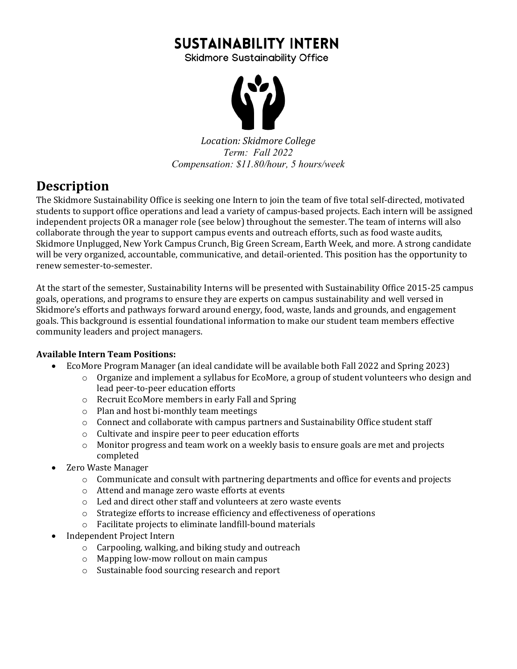# **SUSTAINABILITY INTERN**

**Skidmore Sustainability Office** 



*Location: Skidmore College Term: Fall 2022 Compensation: \$11.80/hour, 5 hours/week*

## **Description**

The Skidmore Sustainability Office is seeking one Intern to join the team of five total self-directed, motivated students to support office operations and lead a variety of campus-based projects. Each intern will be assigned independent projects OR a manager role (see below) throughout the semester. The team of interns will also collaborate through the year to support campus events and outreach efforts, such as food waste audits, Skidmore Unplugged, New York Campus Crunch, Big Green Scream, Earth Week, and more. A strong candidate will be very organized, accountable, communicative, and detail-oriented. This position has the opportunity to renew semester-to-semester.

At the start of the semester, Sustainability Interns will be presented with Sustainability Office 2015-25 campus goals, operations, and programs to ensure they are experts on campus sustainability and well versed in Skidmore's efforts and pathways forward around energy, food, waste, lands and grounds, and engagement goals. This background is essential foundational information to make our student team members effective community leaders and project managers.

#### **Available Intern Team Positions:**

- EcoMore Program Manager (an ideal candidate will be available both Fall 2022 and Spring 2023)
	- $\circ$  Organize and implement a syllabus for EcoMore, a group of student volunteers who design and lead peer-to-peer education efforts
	- o Recruit EcoMore members in early Fall and Spring
	- $\circ$  Plan and host bi-monthly team meetings
	- o Connect and collaborate with campus partners and Sustainability Office student staff
	- $\circ$  Cultivate and inspire peer to peer education efforts
	- $\circ$  Monitor progress and team work on a weekly basis to ensure goals are met and projects completed
- Zero Waste Manager
	- $\circ$  Communicate and consult with partnering departments and office for events and projects
	- $\circ$  Attend and manage zero waste efforts at events
	- $\circ$  Led and direct other staff and volunteers at zero waste events
	- $\circ$  Strategize efforts to increase efficiency and effectiveness of operations
	- $\circ$  Facilitate projects to eliminate landfill-bound materials
- Independent Project Intern
	- $\circ$  Carpooling, walking, and biking study and outreach
	- $\circ$  Mapping low-mow rollout on main campus
	- $\circ$  Sustainable food sourcing research and report